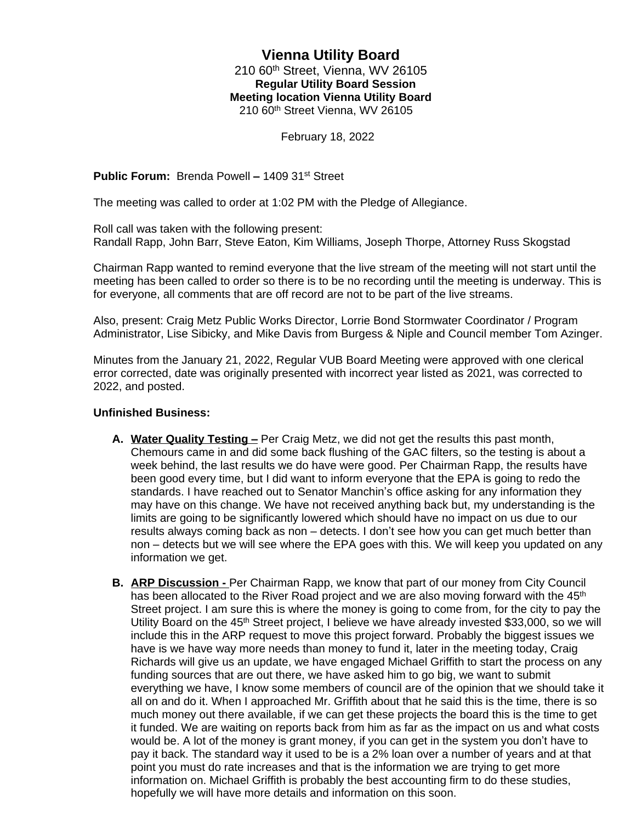# **Vienna Utility Board** 210 60th Street, Vienna, WV 26105 **Regular Utility Board Session Meeting location Vienna Utility Board** 210 60th Street Vienna, WV 26105

February 18, 2022

**Public Forum:** Brenda Powell **–** 1409 31st Street

The meeting was called to order at 1:02 PM with the Pledge of Allegiance.

Roll call was taken with the following present: Randall Rapp, John Barr, Steve Eaton, Kim Williams, Joseph Thorpe, Attorney Russ Skogstad

Chairman Rapp wanted to remind everyone that the live stream of the meeting will not start until the meeting has been called to order so there is to be no recording until the meeting is underway. This is for everyone, all comments that are off record are not to be part of the live streams.

Also, present: Craig Metz Public Works Director, Lorrie Bond Stormwater Coordinator / Program Administrator, Lise Sibicky, and Mike Davis from Burgess & Niple and Council member Tom Azinger.

Minutes from the January 21, 2022, Regular VUB Board Meeting were approved with one clerical error corrected, date was originally presented with incorrect year listed as 2021, was corrected to 2022, and posted.

## **Unfinished Business:**

- A. Water Quality Testing Per Craig Metz, we did not get the results this past month. Chemours came in and did some back flushing of the GAC filters, so the testing is about a week behind, the last results we do have were good. Per Chairman Rapp, the results have been good every time, but I did want to inform everyone that the EPA is going to redo the standards. I have reached out to Senator Manchin's office asking for any information they may have on this change. We have not received anything back but, my understanding is the limits are going to be significantly lowered which should have no impact on us due to our results always coming back as non – detects. I don't see how you can get much better than non – detects but we will see where the EPA goes with this. We will keep you updated on any information we get.
- **B. ARP Discussion** Per Chairman Rapp, we know that part of our money from City Council has been allocated to the River Road project and we are also moving forward with the 45<sup>th</sup> Street project. I am sure this is where the money is going to come from, for the city to pay the Utility Board on the 45<sup>th</sup> Street project, I believe we have already invested \$33,000, so we will include this in the ARP request to move this project forward. Probably the biggest issues we have is we have way more needs than money to fund it, later in the meeting today, Craig Richards will give us an update, we have engaged Michael Griffith to start the process on any funding sources that are out there, we have asked him to go big, we want to submit everything we have, I know some members of council are of the opinion that we should take it all on and do it. When I approached Mr. Griffith about that he said this is the time, there is so much money out there available, if we can get these projects the board this is the time to get it funded. We are waiting on reports back from him as far as the impact on us and what costs would be. A lot of the money is grant money, if you can get in the system you don't have to pay it back. The standard way it used to be is a 2% loan over a number of years and at that point you must do rate increases and that is the information we are trying to get more information on. Michael Griffith is probably the best accounting firm to do these studies, hopefully we will have more details and information on this soon.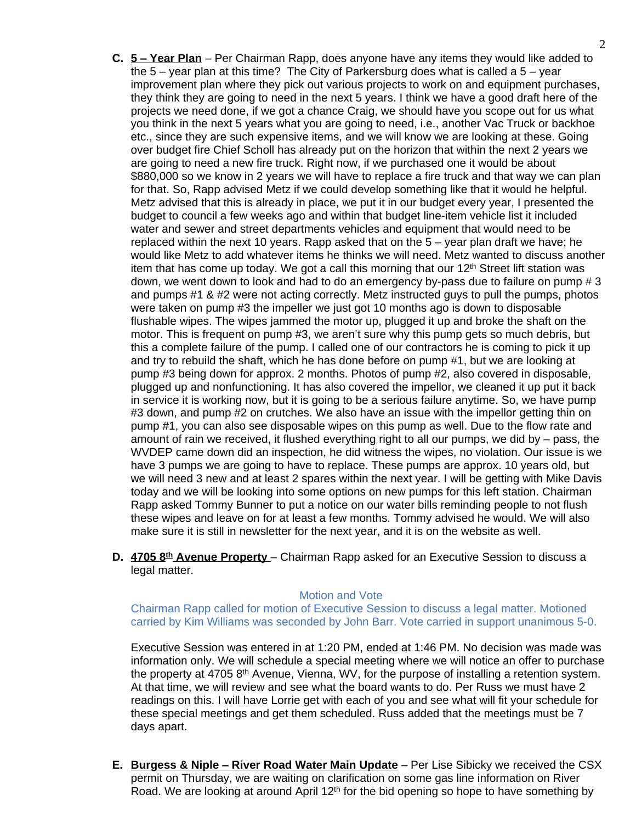- **C. 5 – Year Plan** Per Chairman Rapp, does anyone have any items they would like added to the 5 – year plan at this time? The City of Parkersburg does what is called a 5 – year improvement plan where they pick out various projects to work on and equipment purchases, they think they are going to need in the next 5 years. I think we have a good draft here of the projects we need done, if we got a chance Craig, we should have you scope out for us what you think in the next 5 years what you are going to need, i.e., another Vac Truck or backhoe etc., since they are such expensive items, and we will know we are looking at these. Going over budget fire Chief Scholl has already put on the horizon that within the next 2 years we are going to need a new fire truck. Right now, if we purchased one it would be about \$880,000 so we know in 2 years we will have to replace a fire truck and that way we can plan for that. So, Rapp advised Metz if we could develop something like that it would he helpful. Metz advised that this is already in place, we put it in our budget every year, I presented the budget to council a few weeks ago and within that budget line-item vehicle list it included water and sewer and street departments vehicles and equipment that would need to be replaced within the next 10 years. Rapp asked that on the 5 – year plan draft we have; he would like Metz to add whatever items he thinks we will need. Metz wanted to discuss another item that has come up today. We got a call this morning that our  $12<sup>th</sup>$  Street lift station was down, we went down to look and had to do an emergency by-pass due to failure on pump # 3 and pumps #1 & #2 were not acting correctly. Metz instructed guys to pull the pumps, photos were taken on pump #3 the impeller we just got 10 months ago is down to disposable flushable wipes. The wipes jammed the motor up, plugged it up and broke the shaft on the motor. This is frequent on pump #3, we aren't sure why this pump gets so much debris, but this a complete failure of the pump. I called one of our contractors he is coming to pick it up and try to rebuild the shaft, which he has done before on pump #1, but we are looking at pump #3 being down for approx. 2 months. Photos of pump #2, also covered in disposable, plugged up and nonfunctioning. It has also covered the impellor, we cleaned it up put it back in service it is working now, but it is going to be a serious failure anytime. So, we have pump #3 down, and pump #2 on crutches. We also have an issue with the impellor getting thin on pump #1, you can also see disposable wipes on this pump as well. Due to the flow rate and amount of rain we received, it flushed everything right to all our pumps, we did by – pass, the WVDEP came down did an inspection, he did witness the wipes, no violation. Our issue is we have 3 pumps we are going to have to replace. These pumps are approx. 10 years old, but we will need 3 new and at least 2 spares within the next year. I will be getting with Mike Davis today and we will be looking into some options on new pumps for this left station. Chairman Rapp asked Tommy Bunner to put a notice on our water bills reminding people to not flush these wipes and leave on for at least a few months. Tommy advised he would. We will also make sure it is still in newsletter for the next year, and it is on the website as well.
- **D. 4705 8th Avenue Property**  Chairman Rapp asked for an Executive Session to discuss a legal matter.

#### Motion and Vote

Chairman Rapp called for motion of Executive Session to discuss a legal matter. Motioned carried by Kim Williams was seconded by John Barr. Vote carried in support unanimous 5-0.

Executive Session was entered in at 1:20 PM, ended at 1:46 PM. No decision was made was information only. We will schedule a special meeting where we will notice an offer to purchase the property at 4705  $8<sup>th</sup>$  Avenue, Vienna, WV, for the purpose of installing a retention system. At that time, we will review and see what the board wants to do. Per Russ we must have 2 readings on this. I will have Lorrie get with each of you and see what will fit your schedule for these special meetings and get them scheduled. Russ added that the meetings must be 7 days apart.

**E. Burgess & Niple – River Road Water Main Update** – Per Lise Sibicky we received the CSX permit on Thursday, we are waiting on clarification on some gas line information on River Road. We are looking at around April  $12<sup>th</sup>$  for the bid opening so hope to have something by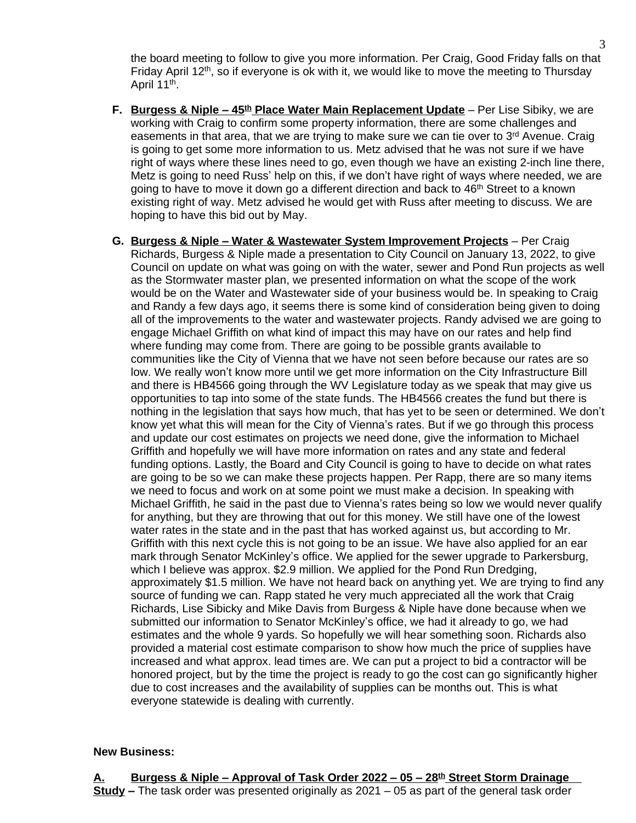the board meeting to follow to give you more information. Per Craig, Good Friday falls on that Friday April 12<sup>th</sup>, so if everyone is ok with it, we would like to move the meeting to Thursday April 11<sup>th</sup>.

- **F. Burgess & Niple – 45th Place Water Main Replacement Update** Per Lise Sibiky, we are working with Craig to confirm some property information, there are some challenges and easements in that area, that we are trying to make sure we can tie over to 3<sup>rd</sup> Avenue. Craig is going to get some more information to us. Metz advised that he was not sure if we have right of ways where these lines need to go, even though we have an existing 2-inch line there, Metz is going to need Russ' help on this, if we don't have right of ways where needed, we are going to have to move it down go a different direction and back to 46th Street to a known existing right of way. Metz advised he would get with Russ after meeting to discuss. We are hoping to have this bid out by May.
- **G. Burgess & Niple – Water & Wastewater System Improvement Projects** Per Craig Richards, Burgess & Niple made a presentation to City Council on January 13, 2022, to give Council on update on what was going on with the water, sewer and Pond Run projects as well as the Stormwater master plan, we presented information on what the scope of the work would be on the Water and Wastewater side of your business would be. In speaking to Craig and Randy a few days ago, it seems there is some kind of consideration being given to doing all of the improvements to the water and wastewater projects. Randy advised we are going to engage Michael Griffith on what kind of impact this may have on our rates and help find where funding may come from. There are going to be possible grants available to communities like the City of Vienna that we have not seen before because our rates are so low. We really won't know more until we get more information on the City Infrastructure Bill and there is HB4566 going through the WV Legislature today as we speak that may give us opportunities to tap into some of the state funds. The HB4566 creates the fund but there is nothing in the legislation that says how much, that has yet to be seen or determined. We don't know yet what this will mean for the City of Vienna's rates. But if we go through this process and update our cost estimates on projects we need done, give the information to Michael Griffith and hopefully we will have more information on rates and any state and federal funding options. Lastly, the Board and City Council is going to have to decide on what rates are going to be so we can make these projects happen. Per Rapp, there are so many items we need to focus and work on at some point we must make a decision. In speaking with Michael Griffith, he said in the past due to Vienna's rates being so low we would never qualify for anything, but they are throwing that out for this money. We still have one of the lowest water rates in the state and in the past that has worked against us, but according to Mr. Griffith with this next cycle this is not going to be an issue. We have also applied for an ear mark through Senator McKinley's office. We applied for the sewer upgrade to Parkersburg, which I believe was approx. \$2.9 million. We applied for the Pond Run Dredging, approximately \$1.5 million. We have not heard back on anything yet. We are trying to find any source of funding we can. Rapp stated he very much appreciated all the work that Craig Richards, Lise Sibicky and Mike Davis from Burgess & Niple have done because when we submitted our information to Senator McKinley's office, we had it already to go, we had estimates and the whole 9 yards. So hopefully we will hear something soon. Richards also provided a material cost estimate comparison to show how much the price of supplies have increased and what approx. lead times are. We can put a project to bid a contractor will be honored project, but by the time the project is ready to go the cost can go significantly higher due to cost increases and the availability of supplies can be months out. This is what everyone statewide is dealing with currently.

## **New Business:**